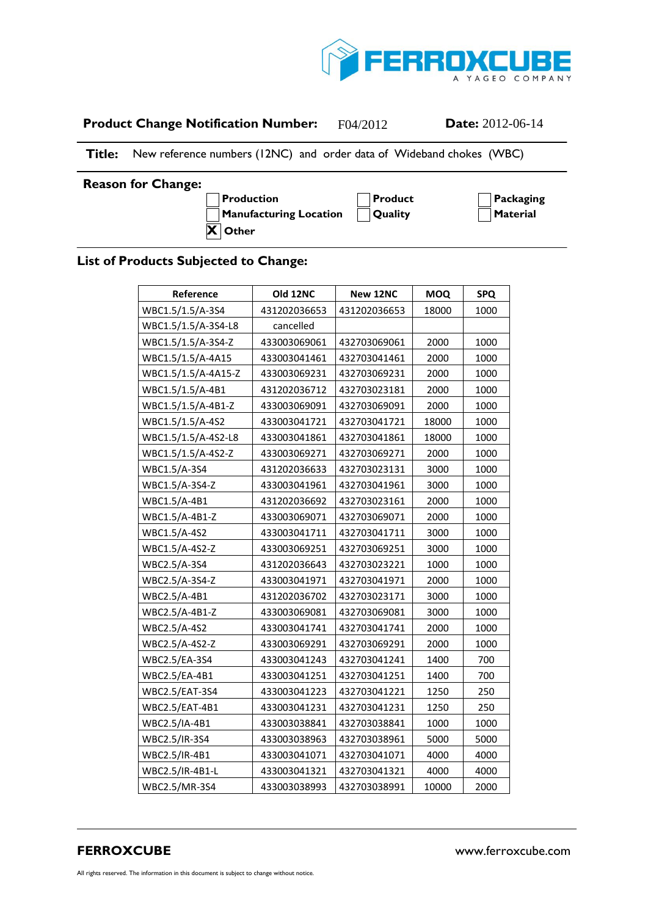

| <b>Product Change Notification Number:</b> | F04/2012 | <b>Date:</b> $2012-06-14$ |
|--------------------------------------------|----------|---------------------------|
|--------------------------------------------|----------|---------------------------|

**Title:** New reference numbers (12NC) and order data of Wideband chokes (WBC)

## **Reason for Change:**

**A Production A Product A Packaging A Manufacturing Location A Quality A Material X Other**

## **List of Products Subjected to Change:**

| Reference             | Old 12NC     | New 12NC     | <b>MOQ</b> | <b>SPQ</b> |
|-----------------------|--------------|--------------|------------|------------|
| WBC1.5/1.5/A-3S4      | 431202036653 | 431202036653 | 18000      | 1000       |
| WBC1.5/1.5/A-3S4-L8   | cancelled    |              |            |            |
| WBC1.5/1.5/A-3S4-Z    | 433003069061 | 432703069061 | 2000       | 1000       |
| WBC1.5/1.5/A-4A15     | 433003041461 | 432703041461 | 2000       | 1000       |
| WBC1.5/1.5/A-4A15-Z   | 433003069231 | 432703069231 | 2000       | 1000       |
| WBC1.5/1.5/A-4B1      | 431202036712 | 432703023181 | 2000       | 1000       |
| WBC1.5/1.5/A-4B1-Z    | 433003069091 | 432703069091 | 2000       | 1000       |
| WBC1.5/1.5/A-4S2      | 433003041721 | 432703041721 | 18000      | 1000       |
| WBC1.5/1.5/A-4S2-L8   | 433003041861 | 432703041861 | 18000      | 1000       |
| WBC1.5/1.5/A-4S2-Z    | 433003069271 | 432703069271 | 2000       | 1000       |
| WBC1.5/A-3S4          | 431202036633 | 432703023131 | 3000       | 1000       |
| WBC1.5/A-3S4-Z        | 433003041961 | 432703041961 | 3000       | 1000       |
| WBC1.5/A-4B1          | 431202036692 | 432703023161 | 2000       | 1000       |
| WBC1.5/A-4B1-Z        | 433003069071 | 432703069071 | 2000       | 1000       |
| WBC1.5/A-4S2          | 433003041711 | 432703041711 | 3000       | 1000       |
| WBC1.5/A-4S2-Z        | 433003069251 | 432703069251 | 3000       | 1000       |
| WBC2.5/A-3S4          | 431202036643 | 432703023221 | 1000       | 1000       |
| WBC2.5/A-3S4-Z        | 433003041971 | 432703041971 | 2000       | 1000       |
| WBC2.5/A-4B1          | 431202036702 | 432703023171 | 3000       | 1000       |
| WBC2.5/A-4B1-Z        | 433003069081 | 432703069081 | 3000       | 1000       |
| WBC2.5/A-4S2          | 433003041741 | 432703041741 | 2000       | 1000       |
| WBC2.5/A-4S2-Z        | 433003069291 | 432703069291 | 2000       | 1000       |
| <b>WBC2.5/EA-3S4</b>  | 433003041243 | 432703041241 | 1400       | 700        |
| WBC2.5/EA-4B1         | 433003041251 | 432703041251 | 1400       | 700        |
| <b>WBC2.5/EAT-3S4</b> | 433003041223 | 432703041221 | 1250       | 250        |
| WBC2.5/EAT-4B1        | 433003041231 | 432703041231 | 1250       | 250        |
| WBC2.5/IA-4B1         | 433003038841 | 432703038841 | 1000       | 1000       |
| WBC2.5/IR-3S4         | 433003038963 | 432703038961 | 5000       | 5000       |
| WBC2.5/IR-4B1         | 433003041071 | 432703041071 | 4000       | 4000       |
| WBC2.5/IR-4B1-L       | 433003041321 | 432703041321 | 4000       | 4000       |
| WBC2.5/MR-3S4         | 433003038993 | 432703038991 | 10000      | 2000       |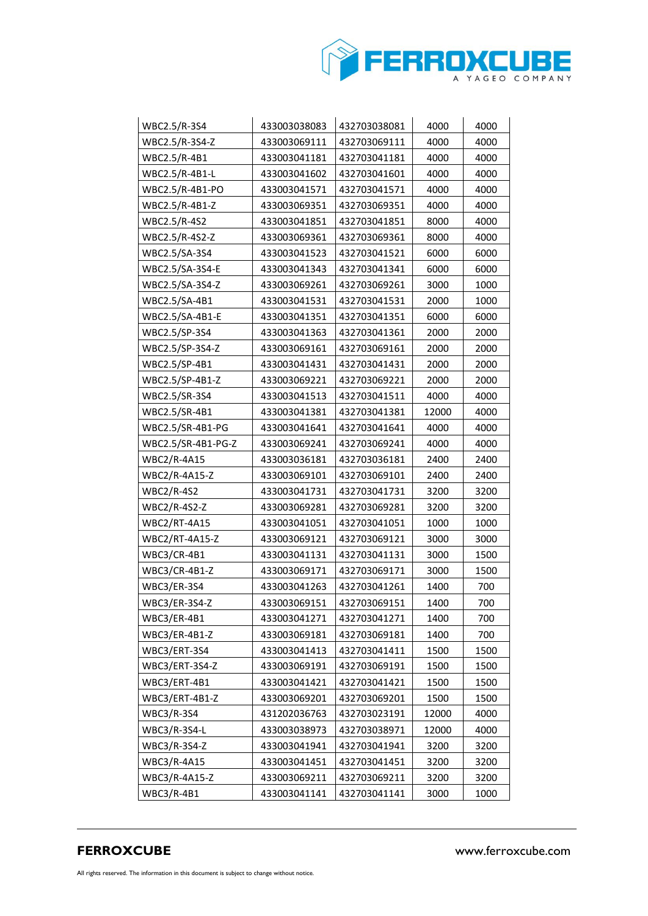

| WBC2.5/R-3S4        | 433003038083 | 432703038081 | 4000  | 4000 |
|---------------------|--------------|--------------|-------|------|
| WBC2.5/R-3S4-Z      | 433003069111 | 432703069111 | 4000  | 4000 |
| WBC2.5/R-4B1        | 433003041181 | 432703041181 | 4000  | 4000 |
| WBC2.5/R-4B1-L      | 433003041602 | 432703041601 | 4000  | 4000 |
| WBC2.5/R-4B1-PO     | 433003041571 | 432703041571 | 4000  | 4000 |
| WBC2.5/R-4B1-Z      | 433003069351 | 432703069351 | 4000  | 4000 |
| WBC2.5/R-4S2        | 433003041851 | 432703041851 | 8000  | 4000 |
| WBC2.5/R-4S2-Z      | 433003069361 | 432703069361 | 8000  | 4000 |
| WBC2.5/SA-3S4       | 433003041523 | 432703041521 | 6000  | 6000 |
| WBC2.5/SA-3S4-E     | 433003041343 | 432703041341 | 6000  | 6000 |
| WBC2.5/SA-3S4-Z     | 433003069261 | 432703069261 | 3000  | 1000 |
| WBC2.5/SA-4B1       | 433003041531 | 432703041531 | 2000  | 1000 |
| WBC2.5/SA-4B1-E     | 433003041351 | 432703041351 | 6000  | 6000 |
| WBC2.5/SP-3S4       | 433003041363 | 432703041361 | 2000  | 2000 |
| WBC2.5/SP-3S4-Z     | 433003069161 | 432703069161 | 2000  | 2000 |
| WBC2.5/SP-4B1       | 433003041431 | 432703041431 | 2000  | 2000 |
| WBC2.5/SP-4B1-Z     | 433003069221 | 432703069221 | 2000  | 2000 |
| WBC2.5/SR-3S4       | 433003041513 | 432703041511 | 4000  | 4000 |
| WBC2.5/SR-4B1       | 433003041381 | 432703041381 | 12000 | 4000 |
| WBC2.5/SR-4B1-PG    | 433003041641 | 432703041641 | 4000  | 4000 |
| WBC2.5/SR-4B1-PG-Z  | 433003069241 | 432703069241 | 4000  | 4000 |
| <b>WBC2/R-4A15</b>  | 433003036181 | 432703036181 | 2400  | 2400 |
| WBC2/R-4A15-Z       | 433003069101 | 432703069101 | 2400  | 2400 |
| <b>WBC2/R-4S2</b>   | 433003041731 | 432703041731 | 3200  | 3200 |
| WBC2/R-4S2-Z        | 433003069281 | 432703069281 | 3200  | 3200 |
| <b>WBC2/RT-4A15</b> | 433003041051 | 432703041051 | 1000  | 1000 |
| WBC2/RT-4A15-Z      | 433003069121 | 432703069121 | 3000  | 3000 |
| WBC3/CR-4B1         | 433003041131 | 432703041131 | 3000  | 1500 |
| WBC3/CR-4B1-Z       | 433003069171 | 432703069171 | 3000  | 1500 |
| WBC3/ER-3S4         | 433003041263 | 432703041261 | 1400  | 700  |
| WBC3/ER-3S4-Z       | 433003069151 | 432703069151 | 1400  | 700  |
| WBC3/ER-4B1         | 433003041271 | 432703041271 | 1400  | 700  |
| WBC3/ER-4B1-Z       | 433003069181 | 432703069181 | 1400  | 700  |
| WBC3/ERT-3S4        | 433003041413 | 432703041411 | 1500  | 1500 |
| WBC3/ERT-3S4-Z      | 433003069191 | 432703069191 | 1500  | 1500 |
| WBC3/ERT-4B1        | 433003041421 | 432703041421 | 1500  | 1500 |
| WBC3/ERT-4B1-Z      | 433003069201 | 432703069201 | 1500  | 1500 |
| <b>WBC3/R-3S4</b>   | 431202036763 | 432703023191 | 12000 | 4000 |
| WBC3/R-3S4-L        | 433003038973 | 432703038971 | 12000 | 4000 |
| WBC3/R-3S4-Z        | 433003041941 | 432703041941 | 3200  | 3200 |
| WBC3/R-4A15         | 433003041451 | 432703041451 | 3200  | 3200 |
| WBC3/R-4A15-Z       | 433003069211 | 432703069211 | 3200  | 3200 |
| $WBC3/R-4B1$        | 433003041141 | 432703041141 | 3000  | 1000 |